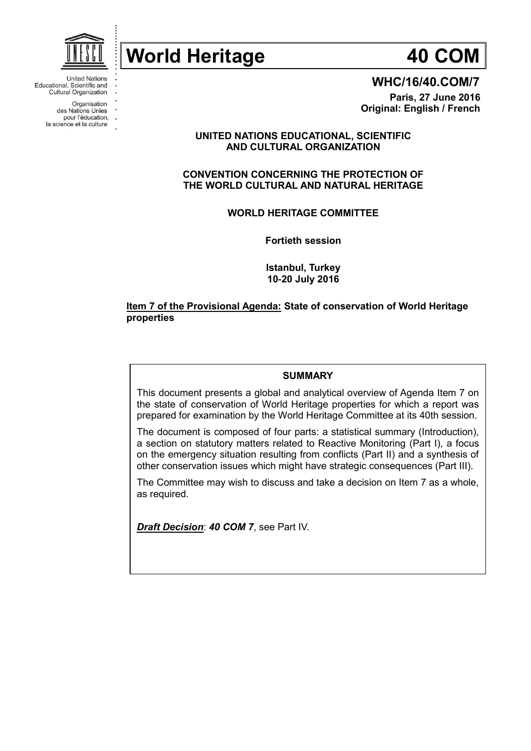

**United Nations** Educational, Scientific and **Cultural Organization** 

Organisation des Nations Unies

pour l'éducation, la science et la culture



**WHC/16/40.COM/7**

**Paris, 27 June 2016 Original: English / French**

# **UNITED NATIONS EDUCATIONAL, SCIENTIFIC AND CULTURAL ORGANIZATION**

# **CONVENTION CONCERNING THE PROTECTION OF THE WORLD CULTURAL AND NATURAL HERITAGE**

**WORLD HERITAGE COMMITTEE**

**Fortieth session**

**Istanbul, Turkey 10-20 July 2016**

# **Item 7 of the Provisional Agenda: State of conservation of World Heritage properties**

## **SUMMARY**

This document presents a global and analytical overview of Agenda Item 7 on the state of conservation of World Heritage properties for which a report was prepared for examination by the World Heritage Committee at its 40th session.

The document is composed of four parts: a statistical summary (Introduction), a section on statutory matters related to Reactive Monitoring (Part I), a focus on the emergency situation resulting from conflicts (Part II) and a synthesis of other conservation issues which might have strategic consequences (Part III).

The Committee may wish to discuss and take a decision on Item 7 as a whole, as required.

*Draft Decision*: *40 COM 7*, see Part IV.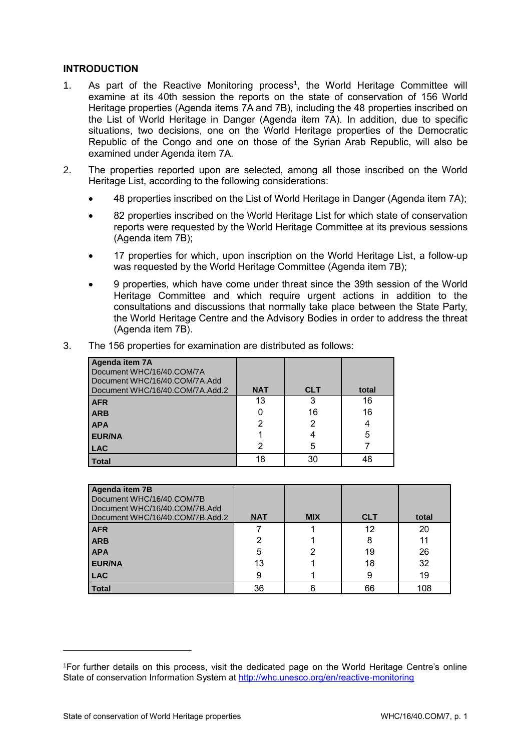# **INTRODUCTION**

- 1. As part of the Reactive Monitoring process<sup>1</sup>, the World Heritage Committee will examine at its 40th session the reports on the state of conservation of 156 World Heritage properties (Agenda items 7A and 7B), including the 48 properties inscribed on the List of World Heritage in Danger (Agenda item 7A). In addition, due to specific situations, two decisions, one on the World Heritage properties of the Democratic Republic of the Congo and one on those of the Syrian Arab Republic, will also be examined under Agenda item 7A.
- 2. The properties reported upon are selected, among all those inscribed on the World Heritage List, according to the following considerations:
	- 48 properties inscribed on the List of World Heritage in Danger (Agenda item 7A);
	- 82 properties inscribed on the World Heritage List for which state of conservation reports were requested by the World Heritage Committee at its previous sessions (Agenda item 7B);
	- 17 properties for which, upon inscription on the World Heritage List, a follow-up was requested by the World Heritage Committee (Agenda item 7B);
	- 9 properties, which have come under threat since the 39th session of the World Heritage Committee and which require urgent actions in addition to the consultations and discussions that normally take place between the State Party, the World Heritage Centre and the Advisory Bodies in order to address the threat (Agenda item 7B).

| The 156 properties for examination are distributed as follows: | 3. |  |  |  |  |  |
|----------------------------------------------------------------|----|--|--|--|--|--|
|----------------------------------------------------------------|----|--|--|--|--|--|

| Agenda item 7A<br>Document WHC/16/40.COM/7A<br>Document WHC/16/40.COM/7A.Add<br>Document WHC/16/40.COM/7A.Add.2 | <b>NAT</b> | <b>CLT</b> | total |
|-----------------------------------------------------------------------------------------------------------------|------------|------------|-------|
| <b>AFR</b>                                                                                                      | 13         | 3          | 16    |
| <b>ARB</b>                                                                                                      |            | 16         | 16    |
| <b>APA</b>                                                                                                      | 2          | 2          | 4     |
| <b>EUR/NA</b>                                                                                                   |            |            | 5     |
| <b>LAC</b>                                                                                                      | 2          | 5          |       |
| <b>Total</b>                                                                                                    | 18         | 30         | 48    |

| Agenda item 7B<br>Document WHC/16/40.COM/7B<br>Document WHC/16/40.COM/7B.Add<br>Document WHC/16/40.COM/7B.Add.2 | <b>NAT</b> | <b>MIX</b> | <b>CLT</b> | total |
|-----------------------------------------------------------------------------------------------------------------|------------|------------|------------|-------|
| <b>AFR</b>                                                                                                      |            |            | 12         | 20    |
| <b>ARB</b>                                                                                                      | っ          |            | 8          | 11    |
| <b>APA</b>                                                                                                      | 5          | 2          | 19         | 26    |
| <b>EUR/NA</b>                                                                                                   | 13         |            | 18         | 32    |
| <b>LAC</b>                                                                                                      |            |            | 9          | 19    |
| <b>Total</b>                                                                                                    | 36         | 6          | 66         | 108   |

 $\overline{a}$ 

<sup>1</sup>For further details on this process, visit the dedicated page on the World Heritage Centre's online State of conservation Information System at<http://whc.unesco.org/en/reactive-monitoring>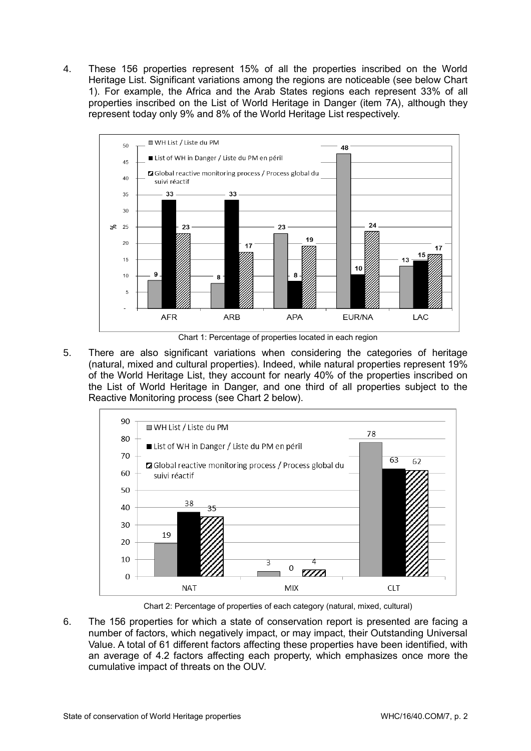4. These 156 properties represent 15% of all the properties inscribed on the World Heritage List. Significant variations among the regions are noticeable (see below Chart 1). For example, the Africa and the Arab States regions each represent 33% of all properties inscribed on the List of World Heritage in Danger (item 7A), although they represent today only 9% and 8% of the World Heritage List respectively.



Chart 1: Percentage of properties located in each region

5. There are also significant variations when considering the categories of heritage (natural, mixed and cultural properties). Indeed, while natural properties represent 19% of the World Heritage List, they account for nearly 40% of the properties inscribed on the List of World Heritage in Danger, and one third of all properties subject to the Reactive Monitoring process (see Chart 2 below).



Chart 2: Percentage of properties of each category (natural, mixed, cultural)

6. The 156 properties for which a state of conservation report is presented are facing a number of factors, which negatively impact, or may impact, their Outstanding Universal Value. A total of 61 different factors affecting these properties have been identified, with an average of 4.2 factors affecting each property, which emphasizes once more the cumulative impact of threats on the OUV.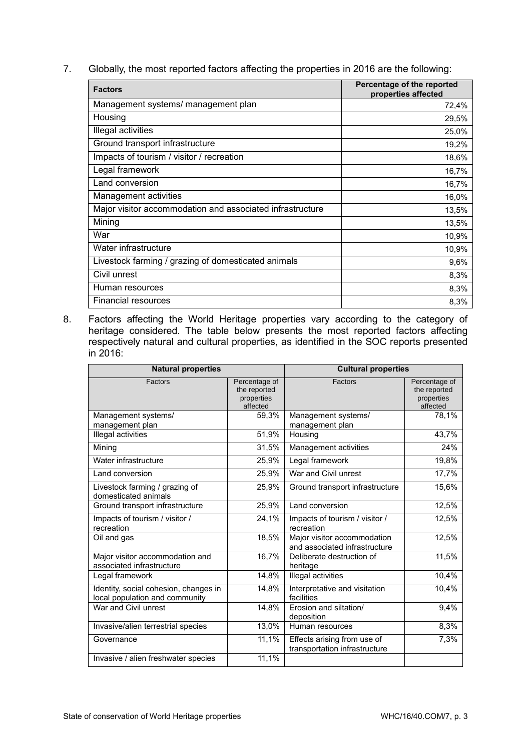7. Globally, the most reported factors affecting the properties in 2016 are the following:

| <b>Factors</b>                                            | Percentage of the reported<br>properties affected |
|-----------------------------------------------------------|---------------------------------------------------|
| Management systems/ management plan                       | 72,4%                                             |
| Housing                                                   | 29,5%                                             |
| Illegal activities                                        | 25,0%                                             |
| Ground transport infrastructure                           | 19,2%                                             |
| Impacts of tourism / visitor / recreation                 | 18,6%                                             |
| Legal framework                                           | 16,7%                                             |
| Land conversion                                           | 16,7%                                             |
| Management activities                                     | 16,0%                                             |
| Major visitor accommodation and associated infrastructure | 13,5%                                             |
| Mining                                                    | 13,5%                                             |
| War                                                       | 10,9%                                             |
| Water infrastructure                                      | 10,9%                                             |
| Livestock farming / grazing of domesticated animals       | 9,6%                                              |
| Civil unrest                                              | 8,3%                                              |
| Human resources                                           | 8,3%                                              |
| Financial resources                                       | 8,3%                                              |

8. Factors affecting the World Heritage properties vary according to the category of heritage considered. The table below presents the most reported factors affecting respectively natural and cultural properties, as identified in the SOC reports presented in 2016:

| <b>Natural properties</b>                                               |                                                         | <b>Cultural properties</b>                                   |                                                         |  |
|-------------------------------------------------------------------------|---------------------------------------------------------|--------------------------------------------------------------|---------------------------------------------------------|--|
| Factors                                                                 | Percentage of<br>the reported<br>properties<br>affected | Factors                                                      | Percentage of<br>the reported<br>properties<br>affected |  |
| Management systems/<br>management plan                                  | 59,3%                                                   | Management systems/<br>management plan                       | 78,1%                                                   |  |
| Illegal activities                                                      | 51,9%                                                   | Housing                                                      | 43,7%                                                   |  |
| Mining                                                                  | 31,5%                                                   | Management activities                                        | 24%                                                     |  |
| Water infrastructure                                                    | 25,9%                                                   | Legal framework                                              | 19,8%                                                   |  |
| Land conversion                                                         | 25,9%                                                   | War and Civil unrest                                         | 17,7%                                                   |  |
| Livestock farming / grazing of<br>domesticated animals                  | 25,9%                                                   | Ground transport infrastructure                              | 15,6%                                                   |  |
| Ground transport infrastructure                                         | 25,9%                                                   | Land conversion                                              | 12,5%                                                   |  |
| Impacts of tourism / visitor /<br>recreation                            | 24,1%                                                   | Impacts of tourism / visitor /<br>recreation                 | 12,5%                                                   |  |
| Oil and gas                                                             | 18,5%                                                   | Major visitor accommodation<br>and associated infrastructure | 12,5%                                                   |  |
| Major visitor accommodation and<br>associated infrastructure            | 16,7%                                                   | Deliberate destruction of<br>heritage                        | 11,5%                                                   |  |
| Legal framework                                                         | 14,8%                                                   | Illegal activities                                           | 10,4%                                                   |  |
| Identity, social cohesion, changes in<br>local population and community | 14,8%                                                   | Interpretative and visitation<br>facilities                  | 10,4%                                                   |  |
| War and Civil unrest                                                    | 14,8%                                                   | Erosion and siltation/<br>deposition                         | 9,4%                                                    |  |
| Invasive/alien terrestrial species                                      | 13,0%                                                   | Human resources                                              | 8,3%                                                    |  |
| Governance                                                              | 11,1%                                                   | Effects arising from use of<br>transportation infrastructure | 7,3%                                                    |  |
| Invasive / alien freshwater species                                     | 11,1%                                                   |                                                              |                                                         |  |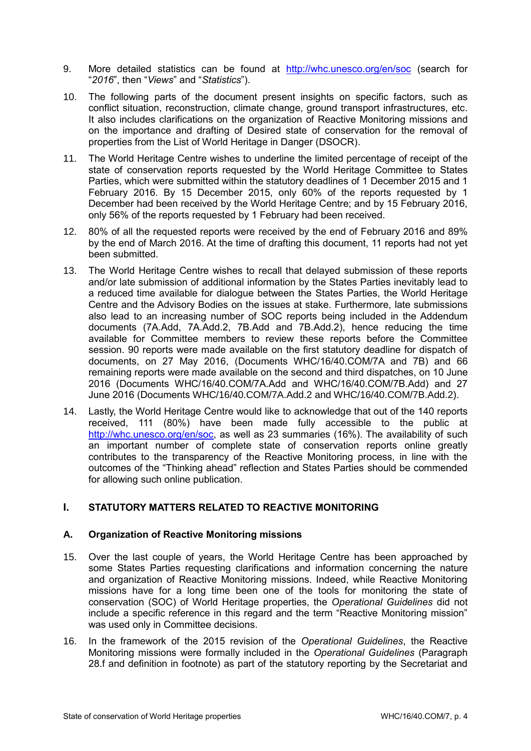- 9. More detailed statistics can be found at <http://whc.unesco.org/en/soc> (search for "*2016*", then "*Views*" and "*Statistics*").
- 10. The following parts of the document present insights on specific factors, such as conflict situation, reconstruction, climate change, ground transport infrastructures, etc. It also includes clarifications on the organization of Reactive Monitoring missions and on the importance and drafting of Desired state of conservation for the removal of properties from the List of World Heritage in Danger (DSOCR).
- 11. The World Heritage Centre wishes to underline the limited percentage of receipt of the state of conservation reports requested by the World Heritage Committee to States Parties, which were submitted within the statutory deadlines of 1 December 2015 and 1 February 2016. By 15 December 2015, only 60% of the reports requested by 1 December had been received by the World Heritage Centre; and by 15 February 2016, only 56% of the reports requested by 1 February had been received.
- 12. 80% of all the requested reports were received by the end of February 2016 and 89% by the end of March 2016. At the time of drafting this document, 11 reports had not yet been submitted.
- 13. The World Heritage Centre wishes to recall that delayed submission of these reports and/or late submission of additional information by the States Parties inevitably lead to a reduced time available for dialogue between the States Parties, the World Heritage Centre and the Advisory Bodies on the issues at stake. Furthermore, late submissions also lead to an increasing number of SOC reports being included in the Addendum documents (7A.Add, 7A.Add.2, 7B.Add and 7B.Add.2), hence reducing the time available for Committee members to review these reports before the Committee session. 90 reports were made available on the first statutory deadline for dispatch of documents, on 27 May 2016, (Documents WHC/16/40.COM/7A and 7B) and 66 remaining reports were made available on the second and third dispatches, on 10 June 2016 (Documents WHC/16/40.COM/7A.Add and WHC/16/40.COM/7B.Add) and 27 June 2016 (Documents WHC/16/40.COM/7A.Add.2 and WHC/16/40.COM/7B.Add.2).
- 14. Lastly, the World Heritage Centre would like to acknowledge that out of the 140 reports received, 111 (80%) have been made fully accessible to the public at [http://whc.unesco.org/en/soc,](http://whc.unesco.org/en/soc) as well as 23 summaries (16%). The availability of such an important number of complete state of conservation reports online greatly contributes to the transparency of the Reactive Monitoring process, in line with the outcomes of the "Thinking ahead" reflection and States Parties should be commended for allowing such online publication.

# **I. STATUTORY MATTERS RELATED TO REACTIVE MONITORING**

# **A. Organization of Reactive Monitoring missions**

- 15. Over the last couple of years, the World Heritage Centre has been approached by some States Parties requesting clarifications and information concerning the nature and organization of Reactive Monitoring missions. Indeed, while Reactive Monitoring missions have for a long time been one of the tools for monitoring the state of conservation (SOC) of World Heritage properties, the *Operational Guidelines* did not include a specific reference in this regard and the term "Reactive Monitoring mission" was used only in Committee decisions.
- 16. In the framework of the 2015 revision of the *Operational Guidelines*, the Reactive Monitoring missions were formally included in the *Operational Guidelines* (Paragraph 28.f and definition in footnote) as part of the statutory reporting by the Secretariat and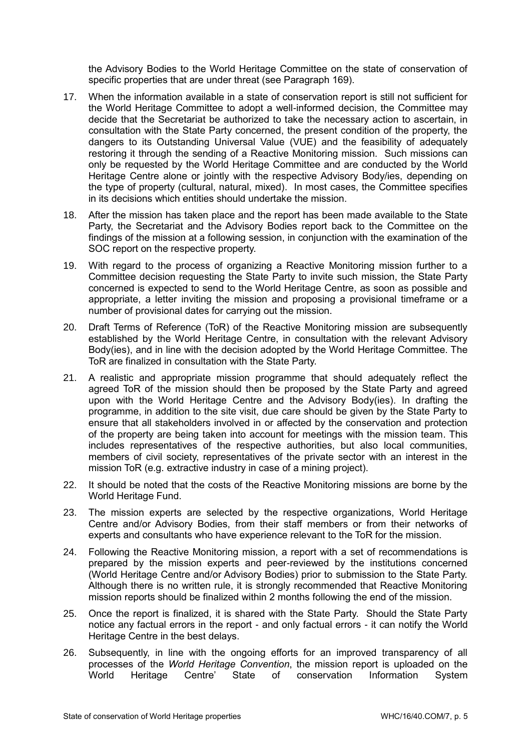the Advisory Bodies to the World Heritage Committee on the state of conservation of specific properties that are under threat (see Paragraph 169).

- 17. When the information available in a state of conservation report is still not sufficient for the World Heritage Committee to adopt a well-informed decision, the Committee may decide that the Secretariat be authorized to take the necessary action to ascertain, in consultation with the State Party concerned, the present condition of the property, the dangers to its Outstanding Universal Value (VUE) and the feasibility of adequately restoring it through the sending of a Reactive Monitoring mission. Such missions can only be requested by the World Heritage Committee and are conducted by the World Heritage Centre alone or jointly with the respective Advisory Body/ies, depending on the type of property (cultural, natural, mixed). In most cases, the Committee specifies in its decisions which entities should undertake the mission.
- 18. After the mission has taken place and the report has been made available to the State Party, the Secretariat and the Advisory Bodies report back to the Committee on the findings of the mission at a following session, in conjunction with the examination of the SOC report on the respective property.
- 19. With regard to the process of organizing a Reactive Monitoring mission further to a Committee decision requesting the State Party to invite such mission, the State Party concerned is expected to send to the World Heritage Centre, as soon as possible and appropriate, a letter inviting the mission and proposing a provisional timeframe or a number of provisional dates for carrying out the mission.
- 20. Draft Terms of Reference (ToR) of the Reactive Monitoring mission are subsequently established by the World Heritage Centre, in consultation with the relevant Advisory Body(ies), and in line with the decision adopted by the World Heritage Committee. The ToR are finalized in consultation with the State Party.
- 21. A realistic and appropriate mission programme that should adequately reflect the agreed ToR of the mission should then be proposed by the State Party and agreed upon with the World Heritage Centre and the Advisory Body(ies). In drafting the programme, in addition to the site visit, due care should be given by the State Party to ensure that all stakeholders involved in or affected by the conservation and protection of the property are being taken into account for meetings with the mission team. This includes representatives of the respective authorities, but also local communities, members of civil society, representatives of the private sector with an interest in the mission ToR (e.g. extractive industry in case of a mining project).
- 22. It should be noted that the costs of the Reactive Monitoring missions are borne by the World Heritage Fund.
- 23. The mission experts are selected by the respective organizations, World Heritage Centre and/or Advisory Bodies, from their staff members or from their networks of experts and consultants who have experience relevant to the ToR for the mission.
- 24. Following the Reactive Monitoring mission, a report with a set of recommendations is prepared by the mission experts and peer-reviewed by the institutions concerned (World Heritage Centre and/or Advisory Bodies) prior to submission to the State Party. Although there is no written rule, it is strongly recommended that Reactive Monitoring mission reports should be finalized within 2 months following the end of the mission.
- 25. Once the report is finalized, it is shared with the State Party. Should the State Party notice any factual errors in the report - and only factual errors - it can notify the World Heritage Centre in the best delays.
- 26. Subsequently, in line with the ongoing efforts for an improved transparency of all processes of the *World Heritage Convention*, the mission report is uploaded on the World Heritage Centre' State of conservation Information System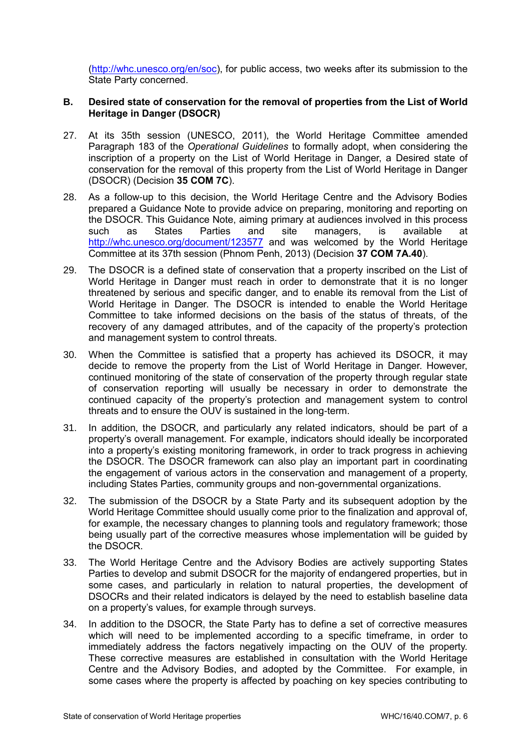[\(http://whc.unesco.org/en/soc\)](http://whc.unesco.org/en/soc), for public access, two weeks after its submission to the State Party concerned.

## **B. Desired state of conservation for the removal of properties from the List of World Heritage in Danger (DSOCR)**

- 27. At its 35th session (UNESCO, 2011), the World Heritage Committee amended Paragraph 183 of the *Operational Guidelines* to formally adopt, when considering the inscription of a property on the List of World Heritage in Danger, a Desired state of conservation for the removal of this property from the List of World Heritage in Danger (DSOCR) (Decision **35 COM 7C**).
- 28. As a follow-up to this decision, the World Heritage Centre and the Advisory Bodies prepared a Guidance Note to provide advice on preparing, monitoring and reporting on the DSOCR. This Guidance Note, aiming primary at audiences involved in this process such as States Parties and site managers, is available at <http://whc.unesco.org/document/123577> and was welcomed by the World Heritage Committee at its 37th session (Phnom Penh, 2013) (Decision **37 COM 7A.40**).
- 29. The DSOCR is a defined state of conservation that a property inscribed on the List of World Heritage in Danger must reach in order to demonstrate that it is no longer threatened by serious and specific danger, and to enable its removal from the List of World Heritage in Danger. The DSOCR is intended to enable the World Heritage Committee to take informed decisions on the basis of the status of threats, of the recovery of any damaged attributes, and of the capacity of the property's protection and management system to control threats.
- 30. When the Committee is satisfied that a property has achieved its DSOCR, it may decide to remove the property from the List of World Heritage in Danger. However, continued monitoring of the state of conservation of the property through regular state of conservation reporting will usually be necessary in order to demonstrate the continued capacity of the property's protection and management system to control threats and to ensure the OUV is sustained in the long-term.
- 31. In addition, the DSOCR, and particularly any related indicators, should be part of a property's overall management. For example, indicators should ideally be incorporated into a property's existing monitoring framework, in order to track progress in achieving the DSOCR. The DSOCR framework can also play an important part in coordinating the engagement of various actors in the conservation and management of a property, including States Parties, community groups and non-governmental organizations.
- 32. The submission of the DSOCR by a State Party and its subsequent adoption by the World Heritage Committee should usually come prior to the finalization and approval of, for example, the necessary changes to planning tools and regulatory framework; those being usually part of the corrective measures whose implementation will be guided by the DSOCR.
- 33. The World Heritage Centre and the Advisory Bodies are actively supporting States Parties to develop and submit DSOCR for the majority of endangered properties, but in some cases, and particularly in relation to natural properties, the development of DSOCRs and their related indicators is delayed by the need to establish baseline data on a property's values, for example through surveys.
- 34. In addition to the DSOCR, the State Party has to define a set of corrective measures which will need to be implemented according to a specific timeframe, in order to immediately address the factors negatively impacting on the OUV of the property. These corrective measures are established in consultation with the World Heritage Centre and the Advisory Bodies, and adopted by the Committee. For example, in some cases where the property is affected by poaching on key species contributing to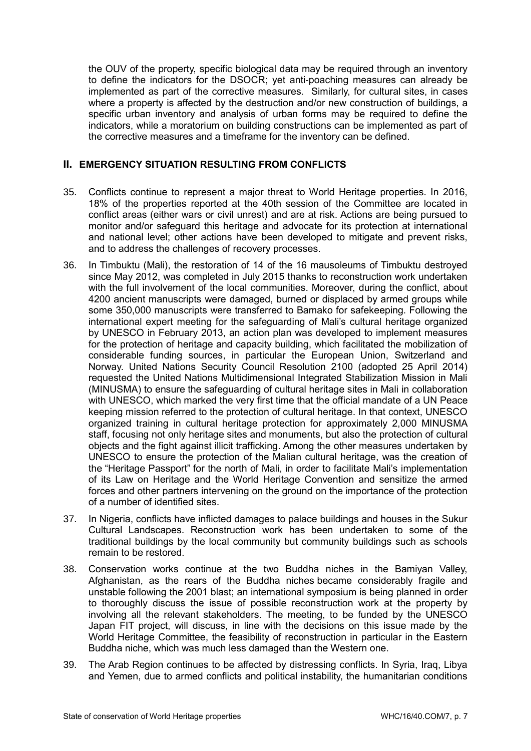the OUV of the property, specific biological data may be required through an inventory to define the indicators for the DSOCR; yet anti-poaching measures can already be implemented as part of the corrective measures. Similarly, for cultural sites, in cases where a property is affected by the destruction and/or new construction of buildings, a specific urban inventory and analysis of urban forms may be required to define the indicators, while a moratorium on building constructions can be implemented as part of the corrective measures and a timeframe for the inventory can be defined.

# **II. EMERGENCY SITUATION RESULTING FROM CONFLICTS**

- 35. Conflicts continue to represent a major threat to World Heritage properties. In 2016, 18% of the properties reported at the 40th session of the Committee are located in conflict areas (either wars or civil unrest) and are at risk. Actions are being pursued to monitor and/or safeguard this heritage and advocate for its protection at international and national level; other actions have been developed to mitigate and prevent risks, and to address the challenges of recovery processes.
- 36. In Timbuktu (Mali), the restoration of 14 of the 16 mausoleums of Timbuktu destroyed since May 2012, was completed in July 2015 thanks to reconstruction work undertaken with the full involvement of the local communities. Moreover, during the conflict, about 4200 ancient manuscripts were damaged, burned or displaced by armed groups while some 350,000 manuscripts were transferred to Bamako for safekeeping. Following the international expert meeting for the safeguarding of Mali's cultural heritage organized by UNESCO in February 2013, an action plan was developed to implement measures for the protection of heritage and capacity building, which facilitated the mobilization of considerable funding sources, in particular the European Union, Switzerland and Norway. United Nations Security Council Resolution 2100 (adopted 25 April 2014) requested the United Nations Multidimensional Integrated Stabilization Mission in Mali (MINUSMA) to ensure the [safeguarding of cultural heritage sites in Mali](http://www.unesco.org/new/en/unesco/resources/unescos-action-in-mali/all-mali-news/) in collaboration with UNESCO, which marked the very first time that the official mandate of a UN Peace keeping mission referred to the protection of cultural heritage. In that context, UNESCO organized training in cultural heritage protection for approximately 2,000 MINUSMA staff, focusing not only heritage sites and monuments, but also the protection of cultural objects and the fight against illicit trafficking. Among the other measures undertaken by UNESCO to ensure the protection of the Malian cultural heritage, was the creation of the ["Heritage Passport"](http://www.unesco.org/new/fileadmin/MULTIMEDIA/HQ/BPI/EPA/images/media_services/Director-General/Passeport-pour-le-Mali.PDF) for the north of Mali, in order to facilitate Mali's implementation of its Law on Heritage and the World Heritage Convention and sensitize the armed forces and other partners intervening on the ground on the importance of the protection of a number of identified sites.
- 37. In Nigeria, conflicts have inflicted damages to palace buildings and houses in the Sukur Cultural Landscapes. Reconstruction work has been undertaken to some of the traditional buildings by the local community but community buildings such as schools remain to be restored.
- 38. Conservation works continue at the two Buddha niches in the Bamiyan Valley, Afghanistan, as the rears of the Buddha niches became considerably fragile and unstable following the 2001 blast; an international symposium is being planned in order to thoroughly discuss the issue of possible reconstruction work at the property by involving all the relevant stakeholders. The meeting, to be funded by the UNESCO Japan FIT project, will discuss, in line with the decisions on this issue made by the World Heritage Committee, the feasibility of reconstruction in particular in the Eastern Buddha niche, which was much less damaged than the Western one.
- 39. The Arab Region continues to be affected by distressing conflicts. In Syria, Iraq, Libya and Yemen, due to armed conflicts and political instability, the humanitarian conditions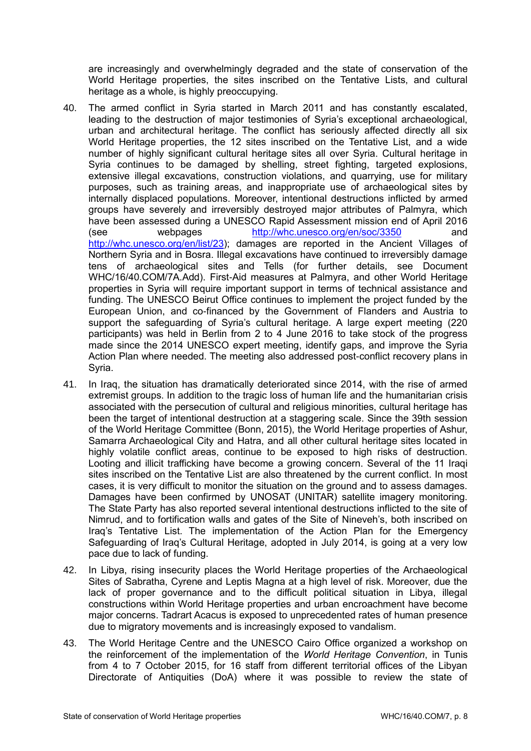are increasingly and overwhelmingly degraded and the state of conservation of the World Heritage properties, the sites inscribed on the Tentative Lists, and cultural heritage as a whole, is highly preoccupying.

- 40. The armed conflict in Syria started in March 2011 and has constantly escalated, leading to the destruction of major testimonies of Syria's exceptional archaeological, urban and architectural heritage. The conflict has seriously affected directly all six World Heritage properties, the 12 sites inscribed on the Tentative List, and a wide number of highly significant cultural heritage sites all over Syria. Cultural heritage in Syria continues to be damaged by shelling, street fighting, targeted explosions, extensive illegal excavations, construction violations, and quarrying, use for military purposes, such as training areas, and inappropriate use of archaeological sites by internally displaced populations. Moreover, intentional destructions inflicted by armed groups have severely and irreversibly destroyed major attributes of Palmyra, which have been assessed during a UNESCO Rapid Assessment mission end of April 2016 (see webpages <http://whc.unesco.org/en/soc/3350> and [http://whc.unesco.org/en/list/23\)](http://whc.unesco.org/en/list/23); damages are reported in the Ancient Villages of Northern Syria and in Bosra. Illegal excavations have continued to irreversibly damage tens of archaeological sites and Tells (for further details, see Document WHC/16/40.COM/7A.Add). First-Aid measures at Palmyra, and other World Heritage properties in Syria will require important support in terms of technical assistance and funding. The UNESCO Beirut Office continues to implement the project funded by the European Union, and co-financed by the Government of Flanders and Austria to support the safeguarding of Syria's cultural heritage. A large expert meeting (220 participants) was held in Berlin from 2 to 4 June 2016 to take stock of the progress made since the 2014 UNESCO expert meeting, identify gaps, and improve the Syria Action Plan where needed. The meeting also addressed post-conflict recovery plans in Syria.
- 41. In Iraq, the situation has dramatically deteriorated since 2014, with the rise of armed extremist groups. In addition to the tragic loss of human life and the humanitarian crisis associated with the persecution of cultural and religious minorities, cultural heritage has been the target of intentional destruction at a staggering scale. Since the 39th session of the World Heritage Committee (Bonn, 2015), the World Heritage properties of Ashur, Samarra Archaeological City and Hatra, and all other cultural heritage sites located in highly volatile conflict areas, continue to be exposed to high risks of destruction. Looting and illicit trafficking have become a growing concern. Several of the 11 Iraqi sites inscribed on the Tentative List are also threatened by the current conflict. In most cases, it is very difficult to monitor the situation on the ground and to assess damages. Damages have been confirmed by UNOSAT (UNITAR) satellite imagery monitoring. The State Party has also reported several intentional destructions inflicted to the site of Nimrud, and to fortification walls and gates of the Site of Nineveh's, both inscribed on Iraq's Tentative List. The implementation of the Action Plan for the Emergency Safeguarding of Iraq's Cultural Heritage, adopted in July 2014, is going at a very low pace due to lack of funding.
- 42. In Libya, rising insecurity places the World Heritage properties of the Archaeological Sites of Sabratha, Cyrene and Leptis Magna at a high level of risk. Moreover, due the lack of proper governance and to the difficult political situation in Libya, illegal constructions within World Heritage properties and urban encroachment have become major concerns. Tadrart Acacus is exposed to unprecedented rates of human presence due to migratory movements and is increasingly exposed to vandalism.
- 43. The World Heritage Centre and the UNESCO Cairo Office organized a workshop on the reinforcement of the implementation of the *World Heritage Convention*, in Tunis from 4 to 7 October 2015, for 16 staff from different territorial offices of the Libyan Directorate of Antiquities (DoA) where it was possible to review the state of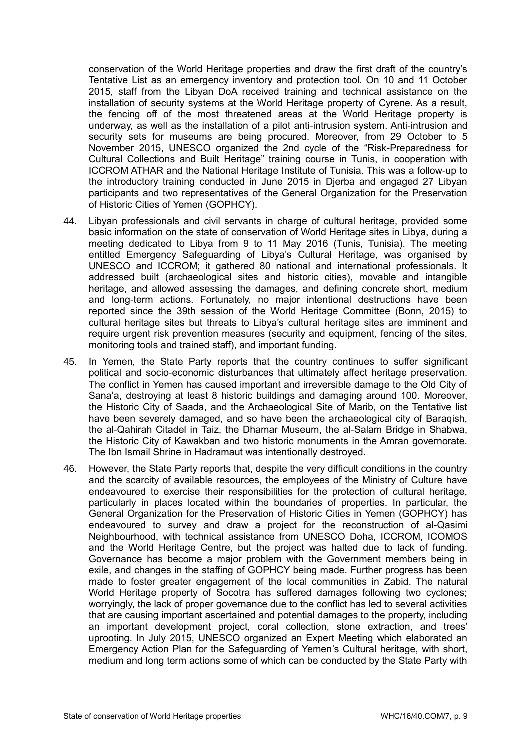conservation of the World Heritage properties and draw the first draft of the country's Tentative List as an emergency inventory and protection tool. On 10 and 11 October 2015, staff from the Libyan DoA received training and technical assistance on the installation of security systems at the World Heritage property of Cyrene. As a result, the fencing off of the most threatened areas at the World Heritage property is underway, as well as the installation of a pilot anti-intrusion system. Anti-intrusion and security sets for museums are being procured. Moreover, from 29 October to 5 November 2015, UNESCO organized the 2nd cycle of the "Risk-Preparedness for Cultural Collections and Built Heritage" training course in Tunis, in cooperation with ICCROM ATHAR and the National Heritage Institute of Tunisia. This was a follow-up to the introductory training conducted in June 2015 in Djerba and engaged 27 Libyan participants and two representatives of the General Organization for the Preservation of Historic Cities of Yemen (GOPHCY).

- 44. Libyan professionals and civil servants in charge of cultural heritage, provided some basic information on the state of conservation of World Heritage sites in Libya, during a meeting dedicated to Libya from 9 to 11 May 2016 (Tunis, Tunisia). The meeting entitled Emergency Safeguarding of Libya's Cultural Heritage, was organised by UNESCO and ICCROM; it gathered 80 national and international professionals. It addressed built (archaeological sites and historic cities), movable and intangible heritage, and allowed assessing the damages, and defining concrete short, medium and long-term actions. Fortunately, no major intentional destructions have been reported since the 39th session of the World Heritage Committee (Bonn, 2015) to cultural heritage sites but threats to Libya's cultural heritage sites are imminent and require urgent risk prevention measures (security and equipment, fencing of the sites, monitoring tools and trained staff), and important funding.
- 45. In Yemen, the State Party reports that the country continues to suffer significant political and socio-economic disturbances that ultimately affect heritage preservation. The conflict in Yemen has caused important and irreversible damage to the Old City of Sana'a, destroying at least 8 historic buildings and damaging around 100. Moreover, the Historic City of Saada, and the Archaeological Site of Marib, on the Tentative list have been severely damaged, and so have been the archaeological city of Baraqish, the al-Qahirah Citadel in Taiz, the Dhamar Museum, the al-Salam Bridge in Shabwa, the Historic City of Kawakban and two historic monuments in the Amran governorate. The Ibn Ismail Shrine in Hadramaut was intentionally destroyed.
- 46. However, the State Party reports that, despite the very difficult conditions in the country and the scarcity of available resources, the employees of the Ministry of Culture have endeavoured to exercise their responsibilities for the protection of cultural heritage, particularly in places located within the boundaries of properties. In particular, the General Organization for the Preservation of Historic Cities in Yemen (GOPHCY) has endeavoured to survey and draw a project for the reconstruction of al-Qasimi Neighbourhood, with technical assistance from UNESCO Doha, ICCROM, ICOMOS and the World Heritage Centre, but the project was halted due to lack of funding. Governance has become a major problem with the Government members being in exile, and changes in the staffing of GOPHCY being made. Further progress has been made to foster greater engagement of the local communities in Zabid. The natural World Heritage property of Socotra has suffered damages following two cyclones; worryingly, the lack of proper governance due to the conflict has led to several activities that are causing important ascertained and potential damages to the property, including an important development project, coral collection, stone extraction, and trees' uprooting. In July 2015, UNESCO organized an Expert Meeting which elaborated an Emergency Action Plan for the Safeguarding of Yemen's Cultural heritage, with short, medium and long term actions some of which can be conducted by the State Party with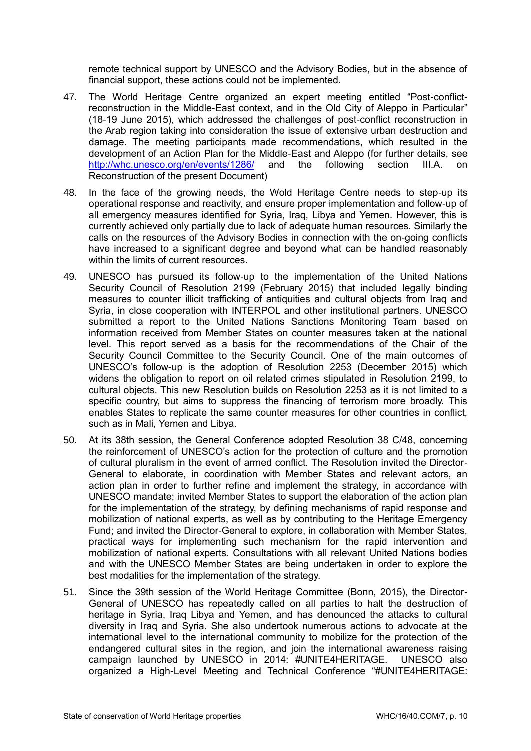remote technical support by UNESCO and the Advisory Bodies, but in the absence of financial support, these actions could not be implemented.

- 47. The World Heritage Centre organized an expert meeting entitled "Post-conflictreconstruction in the Middle-East context, and in the Old City of Aleppo in Particular" (18-19 June 2015), which addressed the challenges of post-conflict reconstruction in the Arab region taking into consideration the issue of extensive urban destruction and damage. The meeting participants made recommendations, which resulted in the development of an Action Plan for the Middle-East and Aleppo (for further details, see <http://whc.unesco.org/en/events/1286/> and the following section III.A. on Reconstruction of the present Document)
- 48. In the face of the growing needs, the Wold Heritage Centre needs to step-up its operational response and reactivity, and ensure proper implementation and follow-up of all emergency measures identified for Syria, Iraq, Libya and Yemen. However, this is currently achieved only partially due to lack of adequate human resources. Similarly the calls on the resources of the Advisory Bodies in connection with the on-going conflicts have increased to a significant degree and beyond what can be handled reasonably within the limits of current resources.
- 49. UNESCO has pursued its follow-up to the implementation of the United Nations Security Council of Resolution 2199 (February 2015) that included legally binding measures to counter illicit trafficking of antiquities and cultural objects from Iraq and Syria, in close cooperation with INTERPOL and other institutional partners. UNESCO submitted a report to the United Nations Sanctions Monitoring Team based on information received from Member States on counter measures taken at the national level. This report served as a basis for the recommendations of the Chair of the Security Council Committee to the Security Council. One of the main outcomes of UNESCO's follow-up is the adoption of Resolution 2253 (December 2015) which widens the obligation to report on oil related crimes stipulated in Resolution 2199, to cultural objects. This new Resolution builds on Resolution 2253 as it is not limited to a specific country, but aims to suppress the financing of terrorism more broadly. This enables States to replicate the same counter measures for other countries in conflict, such as in Mali, Yemen and Libya.
- 50. At its 38th session, the General Conference adopted Resolution 38 C/48, concerning the reinforcement of UNESCO's action for the protection of culture and the promotion of cultural pluralism in the event of armed conflict. The Resolution invited the Director-General to elaborate, in coordination with Member States and relevant actors, an action plan in order to further refine and implement the strategy, in accordance with UNESCO mandate; invited Member States to support the elaboration of the action plan for the implementation of the strategy, by defining mechanisms of rapid response and mobilization of national experts, as well as by contributing to the Heritage Emergency Fund; and invited the Director-General to explore, in collaboration with Member States, practical ways for implementing such mechanism for the rapid intervention and mobilization of national experts. Consultations with all relevant United Nations bodies and with the UNESCO Member States are being undertaken in order to explore the best modalities for the implementation of the strategy.
- 51. Since the 39th session of the World Heritage Committee (Bonn, 2015), the Director-General of UNESCO has repeatedly called on all parties to halt the destruction of heritage in Syria, Iraq Libya and Yemen, and has denounced the attacks to cultural diversity in Iraq and Syria. She also undertook numerous actions to advocate at the international level to the international community to mobilize for the protection of the endangered cultural sites in the region, and join the international awareness raising campaign launched by UNESCO in 2014: #UNITE4HERITAGE. UNESCO also organized a High-Level Meeting and Technical Conference "#UNITE4HERITAGE: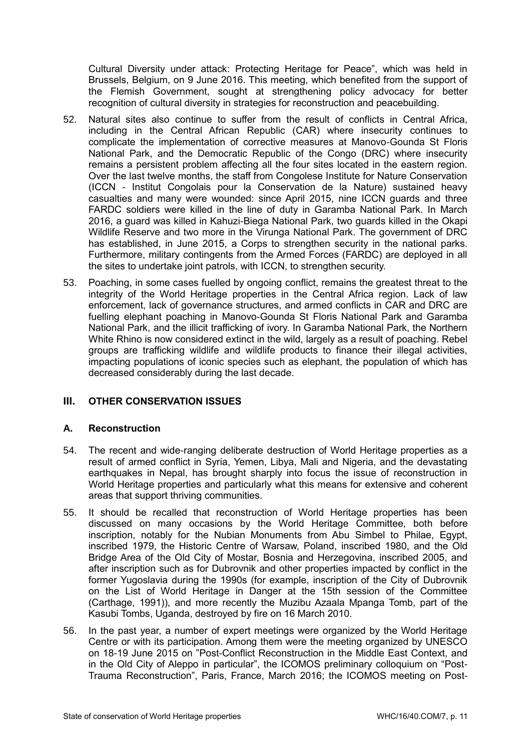Cultural Diversity under attack: Protecting Heritage for Peace", which was held in Brussels, Belgium, on 9 June 2016. This meeting, which benefited from the support of the Flemish Government, sought at strengthening policy advocacy for better recognition of cultural diversity in strategies for reconstruction and peacebuilding.

- 52. Natural sites also continue to suffer from the result of conflicts in Central Africa, including in the Central African Republic (CAR) where insecurity continues to complicate the implementation of corrective measures at Manovo-Gounda St Floris National Park, and the Democratic Republic of the Congo (DRC) where insecurity remains a persistent problem affecting all the four sites located in the eastern region. Over the last twelve months, the staff from Congolese Institute for Nature Conservation (ICCN - Institut Congolais pour la Conservation de la Nature) sustained heavy casualties and many were wounded: since April 2015, nine ICCN guards and three FARDC soldiers were killed in the line of duty in Garamba National Park. In March 2016, a guard was killed in Kahuzi-Biega National Park, two guards killed in the Okapi Wildlife Reserve and two more in the Virunga National Park. The government of DRC has established, in June 2015, a Corps to strengthen security in the national parks. Furthermore, military contingents from the Armed Forces (FARDC) are deployed in all the sites to undertake joint patrols, with ICCN, to strengthen security.
- 53. Poaching, in some cases fuelled by ongoing conflict, remains the greatest threat to the integrity of the World Heritage properties in the Central Africa region. Lack of law enforcement, lack of governance structures, and armed conflicts in CAR and DRC are fuelling elephant poaching in Manovo-Gounda St Floris National Park and Garamba National Park, and the illicit trafficking of ivory. In Garamba National Park, the Northern White Rhino is now considered extinct in the wild, largely as a result of poaching. Rebel groups are trafficking wildlife and wildlife products to finance their illegal activities, impacting populations of iconic species such as elephant, the population of which has decreased considerably during the last decade.

# **III. OTHER CONSERVATION ISSUES**

# **A. Reconstruction**

- 54. The recent and wide-ranging deliberate destruction of World Heritage properties as a result of armed conflict in Syria, Yemen, Libya, Mali and Nigeria, and the devastating earthquakes in Nepal, has brought sharply into focus the issue of reconstruction in World Heritage properties and particularly what this means for extensive and coherent areas that support thriving communities.
- 55. It should be recalled that reconstruction of World Heritage properties has been discussed on many occasions by the World Heritage Committee, both before inscription, notably for the Nubian Monuments from Abu Simbel to Philae, Egypt, inscribed 1979, the Historic Centre of Warsaw, Poland, inscribed 1980, and the Old Bridge Area of the Old City of Mostar, Bosnia and Herzegovina, inscribed 2005, and after inscription such as for Dubrovnik and other properties impacted by conflict in the former Yugoslavia during the 1990s (for example, inscription of the City of Dubrovnik on the List of World Heritage in Danger at the 15th session of the Committee (Carthage, 1991)), and more recently the Muzibu Azaala Mpanga Tomb, part of the Kasubi Tombs, Uganda, destroyed by fire on 16 March 2010.
- 56. In the past year, a number of expert meetings were organized by the World Heritage Centre or with its participation. Among them were the meeting organized by UNESCO on 18-19 June 2015 on "Post-Conflict Reconstruction in the Middle East Context, and in the Old City of Aleppo in particular", the ICOMOS preliminary colloquium on "Post-Trauma Reconstruction", Paris, France, March 2016; the ICOMOS meeting on Post-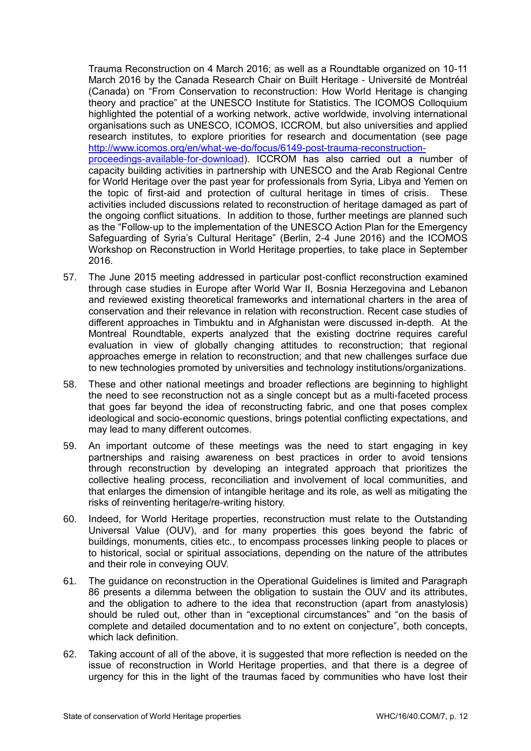Trauma Reconstruction on 4 March 2016; as well as a Roundtable organized on 10-11 March 2016 by the Canada Research Chair on Built Heritage - Université de Montréal (Canada) on "From Conservation to reconstruction: How World Heritage is changing theory and practice" at the UNESCO Institute for Statistics. The ICOMOS Colloquium highlighted the potential of a working network, active worldwide, involving international organisations such as UNESCO, ICOMOS, ICCROM, but also universities and applied research institutes, to explore priorities for research and documentation (see page [http://www.icomos.org/en/what-we-do/focus/6149-post-trauma-reconstruction](http://www.icomos.org/en/what-we-do/focus/6149-post-trauma-reconstruction-proceedings-available-for-download)[proceedings-available-for-download\)](http://www.icomos.org/en/what-we-do/focus/6149-post-trauma-reconstruction-proceedings-available-for-download). ICCROM has also carried out a number of capacity building activities in partnership with UNESCO and the Arab Regional Centre for World Heritage over the past year for professionals from Syria, Libya and Yemen on the topic of first-aid and protection of cultural heritage in times of crisis. These activities included discussions related to reconstruction of heritage damaged as part of the ongoing conflict situations. In addition to those, further meetings are planned such as the "Follow-up to the implementation of the UNESCO Action Plan for the Emergency Safeguarding of Syria's Cultural Heritage" (Berlin, 2-4 June 2016) and the ICOMOS Workshop on Reconstruction in World Heritage properties, to take place in September 2016.

- 57. The June 2015 meeting addressed in particular post-conflict reconstruction examined through case studies in Europe after World War II, Bosnia Herzegovina and Lebanon and reviewed existing theoretical frameworks and international charters in the area of conservation and their relevance in relation with reconstruction. Recent case studies of different approaches in Timbuktu and in Afghanistan were discussed in-depth. At the Montreal Roundtable, experts analyzed that the existing doctrine requires careful evaluation in view of globally changing attitudes to reconstruction; that regional approaches emerge in relation to reconstruction; and that new challenges surface due to new technologies promoted by universities and technology institutions/organizations.
- 58. These and other national meetings and broader reflections are beginning to highlight the need to see reconstruction not as a single concept but as a multi-faceted process that goes far beyond the idea of reconstructing fabric, and one that poses complex ideological and socio-economic questions, brings potential conflicting expectations, and may lead to many different outcomes.
- 59. An important outcome of these meetings was the need to start engaging in key partnerships and raising awareness on best practices in order to avoid tensions through reconstruction by developing an integrated approach that prioritizes the collective healing process, reconciliation and involvement of local communities, and that enlarges the dimension of intangible heritage and its role, as well as mitigating the risks of reinventing heritage/re-writing history.
- 60. Indeed, for World Heritage properties, reconstruction must relate to the Outstanding Universal Value (OUV), and for many properties this goes beyond the fabric of buildings, monuments, cities etc., to encompass processes linking people to places or to historical, social or spiritual associations, depending on the nature of the attributes and their role in conveying OUV.
- 61. The guidance on reconstruction in the Operational Guidelines is limited and Paragraph 86 presents a dilemma between the obligation to sustain the OUV and its attributes, and the obligation to adhere to the idea that reconstruction (apart from anastylosis) should be ruled out, other than in "exceptional circumstances" and "on the basis of complete and detailed documentation and to no extent on conjecture", both concepts, which lack definition.
- 62. Taking account of all of the above, it is suggested that more reflection is needed on the issue of reconstruction in World Heritage properties, and that there is a degree of urgency for this in the light of the traumas faced by communities who have lost their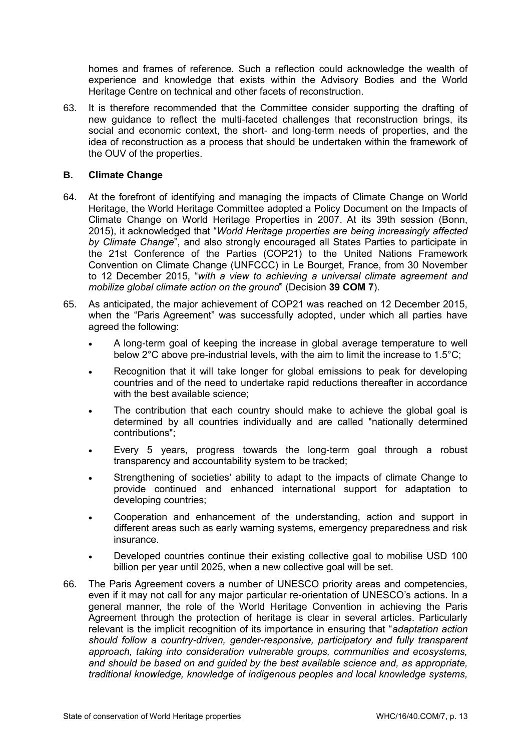homes and frames of reference. Such a reflection could acknowledge the wealth of experience and knowledge that exists within the Advisory Bodies and the World Heritage Centre on technical and other facets of reconstruction.

63. It is therefore recommended that the Committee consider supporting the drafting of new guidance to reflect the multi-faceted challenges that reconstruction brings, its social and economic context, the short- and long-term needs of properties, and the idea of reconstruction as a process that should be undertaken within the framework of the OUV of the properties.

## **B. Climate Change**

- 64. At the forefront of identifying and managing the impacts of Climate Change on World Heritage, the World Heritage Committee adopted a Policy Document on the Impacts of Climate Change on World Heritage Properties in 2007. At its 39th session (Bonn, 2015), it acknowledged that "*World Heritage properties are being increasingly affected by Climate Change*", and also strongly encouraged all States Parties to participate in the 21st Conference of the Parties (COP21) to the United Nations Framework Convention on Climate Change (UNFCCC) in Le Bourget, France, from 30 November to 12 December 2015, "*with a view to achieving a universal climate agreement and mobilize global climate action on the ground*" (Decision **39 COM 7**).
- 65. As anticipated, the major achievement of COP21 was reached on 12 December 2015, when the "Paris Agreement" was successfully adopted, under which all parties have agreed the following:
	- A long-term goal of keeping the increase in global average temperature to well below 2°C above pre-industrial levels, with the aim to limit the increase to 1.5°C;
	- Recognition that it will take longer for global emissions to peak for developing countries and of the need to undertake rapid reductions thereafter in accordance with the best available science:
	- The contribution that each country should make to achieve the global goal is determined by all countries individually and are called "nationally determined contributions";
	- Every 5 years, progress towards the long-term goal through a robust transparency and accountability system to be tracked;
	- Strengthening of societies' ability to adapt to the impacts of climate Change to provide continued and enhanced international support for adaptation to developing countries;
	- Cooperation and enhancement of the understanding, action and support in different areas such as early warning systems, emergency preparedness and risk insurance.
	- Developed countries continue their existing collective goal to mobilise USD 100 billion per year until 2025, when a new collective goal will be set.
- 66. The Paris Agreement covers a number of UNESCO priority areas and competencies, even if it may not call for any major particular re-orientation of UNESCO's actions. In a general manner, the role of the World Heritage Convention in achieving the Paris Agreement through the protection of heritage is clear in several articles. Particularly relevant is the implicit recognition of its importance in ensuring that "*adaptation action should follow a country-driven, gender-responsive, participatory and fully transparent approach, taking into consideration vulnerable groups, communities and ecosystems, and should be based on and guided by the best available science and, as appropriate, traditional knowledge, knowledge of indigenous peoples and local knowledge systems,*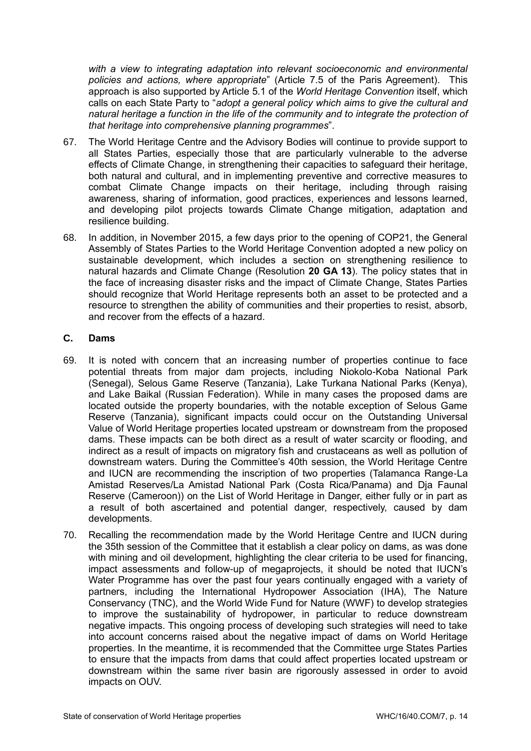*with a view to integrating adaptation into relevant socioeconomic and environmental policies and actions, where appropriate*" (Article 7.5 of the Paris Agreement). This approach is also supported by Article 5.1 of the *World Heritage Convention* itself, which calls on each State Party to "*adopt a general policy which aims to give the cultural and natural heritage a function in the life of the community and to integrate the protection of that heritage into comprehensive planning programmes*".

- 67. The World Heritage Centre and the Advisory Bodies will continue to provide support to all States Parties, especially those that are particularly vulnerable to the adverse effects of Climate Change, in strengthening their capacities to safeguard their heritage, both natural and cultural, and in implementing preventive and corrective measures to combat Climate Change impacts on their heritage, including through raising awareness, sharing of information, good practices, experiences and lessons learned, and developing pilot projects towards Climate Change mitigation, adaptation and resilience building.
- 68. In addition, in November 2015, a few days prior to the opening of COP21, the General Assembly of States Parties to the World Heritage Convention adopted a new policy on sustainable development, which includes a section on strengthening resilience to natural hazards and Climate Change (Resolution **20 GA 13**). The policy states that in the face of increasing disaster risks and the impact of Climate Change, States Parties should recognize that World Heritage represents both an asset to be protected and a resource to strengthen the ability of communities and their properties to resist, absorb, and recover from the effects of a hazard.

# **C. Dams**

- 69. It is noted with concern that an increasing number of properties continue to face potential threats from major dam projects, including Niokolo-Koba National Park (Senegal), Selous Game Reserve (Tanzania), Lake Turkana National Parks (Kenya), and Lake Baikal (Russian Federation). While in many cases the proposed dams are located outside the property boundaries, with the notable exception of Selous Game Reserve (Tanzania), significant impacts could occur on the Outstanding Universal Value of World Heritage properties located upstream or downstream from the proposed dams. These impacts can be both direct as a result of water scarcity or flooding, and indirect as a result of impacts on migratory fish and crustaceans as well as pollution of downstream waters. During the Committee's 40th session, the World Heritage Centre and IUCN are recommending the inscription of two properties (Talamanca Range-La Amistad Reserves/La Amistad National Park (Costa Rica/Panama) and Dja Faunal Reserve (Cameroon)) on the List of World Heritage in Danger, either fully or in part as a result of both ascertained and potential danger, respectively, caused by dam developments.
- 70. Recalling the recommendation made by the World Heritage Centre and IUCN during the 35th session of the Committee that it establish a clear policy on dams, as was done with mining and oil development, highlighting the clear criteria to be used for financing, impact assessments and follow-up of megaprojects, it should be noted that IUCN's Water Programme has over the past four years continually engaged with a variety of partners, including the International Hydropower Association (IHA), The Nature Conservancy (TNC), and the World Wide Fund for Nature (WWF) to develop strategies to improve the sustainability of hydropower, in particular to reduce downstream negative impacts. This ongoing process of developing such strategies will need to take into account concerns raised about the negative impact of dams on World Heritage properties. In the meantime, it is recommended that the Committee urge States Parties to ensure that the impacts from dams that could affect properties located upstream or downstream within the same river basin are rigorously assessed in order to avoid impacts on OUV.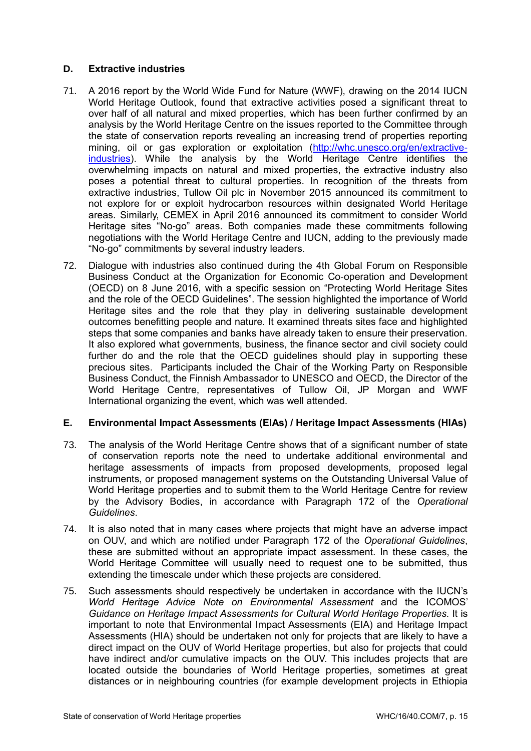# **D. Extractive industries**

- 71. A 2016 report by the World Wide Fund for Nature (WWF), drawing on the 2014 IUCN World Heritage Outlook, found that extractive activities posed a significant threat to over half of all natural and mixed properties, which has been further confirmed by an analysis by the World Heritage Centre on the issues reported to the Committee through the state of conservation reports revealing an increasing trend of properties reporting mining, oil or gas exploration or exploitation [\(http://whc.unesco.org/en/extractive](http://whc.unesco.org/en/extractive-industries)[industries\)](http://whc.unesco.org/en/extractive-industries). While the analysis by the World Heritage Centre identifies the overwhelming impacts on natural and mixed properties, the extractive industry also poses a potential threat to cultural properties. In recognition of the threats from extractive industries, Tullow Oil plc in November 2015 announced its commitment to not explore for or exploit hydrocarbon resources within designated World Heritage areas. Similarly, CEMEX in April 2016 announced its commitment to consider World Heritage sites "No-go" areas. Both companies made these commitments following negotiations with the World Heritage Centre and IUCN, adding to the previously made "No-go" commitments by several industry leaders.
- 72. Dialogue with industries also continued during the 4th Global Forum on Responsible Business Conduct at the Organization for Economic Co-operation and Development (OECD) on 8 June 2016, with a specific session on "Protecting World Heritage Sites and the role of the OECD Guidelines". The session highlighted the importance of World Heritage sites and the role that they play in delivering sustainable development outcomes benefitting people and nature. It examined threats sites face and highlighted steps that some companies and banks have already taken to ensure their preservation. It also explored what governments, business, the finance sector and civil society could further do and the role that the OECD guidelines should play in supporting these precious sites. Participants included the Chair of the Working Party on Responsible Business Conduct, the Finnish Ambassador to UNESCO and OECD, the Director of the World Heritage Centre, representatives of Tullow Oil, JP Morgan and WWF International organizing the event, which was well attended.

# **E. Environmental Impact Assessments (EIAs) / Heritage Impact Assessments (HIAs)**

- 73. The analysis of the World Heritage Centre shows that of a significant number of state of conservation reports note the need to undertake additional environmental and heritage assessments of impacts from proposed developments, proposed legal instruments, or proposed management systems on the Outstanding Universal Value of World Heritage properties and to submit them to the World Heritage Centre for review by the Advisory Bodies, in accordance with Paragraph 172 of the *Operational Guidelines*.
- 74. It is also noted that in many cases where projects that might have an adverse impact on OUV, and which are notified under Paragraph 172 of the *Operational Guidelines*, these are submitted without an appropriate impact assessment. In these cases, the World Heritage Committee will usually need to request one to be submitted, thus extending the timescale under which these projects are considered.
- 75. Such assessments should respectively be undertaken in accordance with the IUCN's *World Heritage Advice Note on Environmental Assessment* and the ICOMOS' *Guidance on Heritage Impact Assessments for Cultural World Heritage Properties*. It is important to note that Environmental Impact Assessments (EIA) and Heritage Impact Assessments (HIA) should be undertaken not only for projects that are likely to have a direct impact on the OUV of World Heritage properties, but also for projects that could have indirect and/or cumulative impacts on the OUV. This includes projects that are located outside the boundaries of World Heritage properties, sometimes at great distances or in neighbouring countries (for example development projects in Ethiopia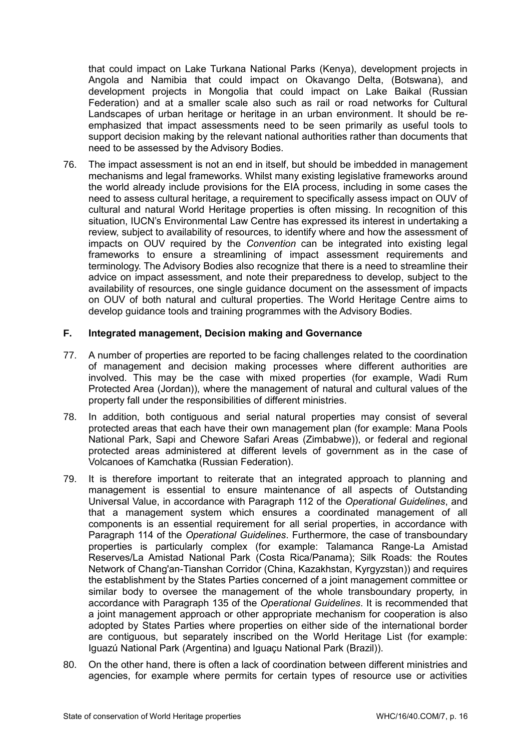that could impact on Lake Turkana National Parks (Kenya), development projects in Angola and Namibia that could impact on Okavango Delta, (Botswana), and development projects in Mongolia that could impact on Lake Baikal (Russian Federation) and at a smaller scale also such as rail or road networks for Cultural Landscapes of urban heritage or heritage in an urban environment. It should be reemphasized that impact assessments need to be seen primarily as useful tools to support decision making by the relevant national authorities rather than documents that need to be assessed by the Advisory Bodies.

76. The impact assessment is not an end in itself, but should be imbedded in management mechanisms and legal frameworks. Whilst many existing legislative frameworks around the world already include provisions for the EIA process, including in some cases the need to assess cultural heritage, a requirement to specifically assess impact on OUV of cultural and natural World Heritage properties is often missing. In recognition of this situation, IUCN's Environmental Law Centre has expressed its interest in undertaking a review, subject to availability of resources, to identify where and how the assessment of impacts on OUV required by the *Convention* can be integrated into existing legal frameworks to ensure a streamlining of impact assessment requirements and terminology. The Advisory Bodies also recognize that there is a need to streamline their advice on impact assessment, and note their preparedness to develop, subject to the availability of resources, one single guidance document on the assessment of impacts on OUV of both natural and cultural properties. The World Heritage Centre aims to develop guidance tools and training programmes with the Advisory Bodies.

## **F. Integrated management, Decision making and Governance**

- 77. A number of properties are reported to be facing challenges related to the coordination of management and decision making processes where different authorities are involved. This may be the case with mixed properties (for example, Wadi Rum Protected Area (Jordan)), where the management of natural and cultural values of the property fall under the responsibilities of different ministries.
- 78. In addition, both contiguous and serial natural properties may consist of several protected areas that each have their own management plan (for example: Mana Pools National Park, Sapi and Chewore Safari Areas (Zimbabwe)), or federal and regional protected areas administered at different levels of government as in the case of Volcanoes of Kamchatka (Russian Federation).
- 79. It is therefore important to reiterate that an integrated approach to planning and management is essential to ensure maintenance of all aspects of Outstanding Universal Value, in accordance with Paragraph 112 of the *Operational Guidelines*, and that a management system which ensures a coordinated management of all components is an essential requirement for all serial properties, in accordance with Paragraph 114 of the *Operational Guidelines*. Furthermore, the case of transboundary properties is particularly complex (for example: Talamanca Range-La Amistad Reserves/La Amistad National Park (Costa Rica/Panama); Silk Roads: the Routes Network of Chang'an-Tianshan Corridor (China, Kazakhstan, Kyrgyzstan)) and requires the establishment by the States Parties concerned of a joint management committee or similar body to oversee the management of the whole transboundary property, in accordance with Paragraph 135 of the *Operational Guidelines*. It is recommended that a joint management approach or other appropriate mechanism for cooperation is also adopted by States Parties where properties on either side of the international border are contiguous, but separately inscribed on the World Heritage List (for example: Iguazú National Park (Argentina) and Iguaçu National Park (Brazil)).
- 80. On the other hand, there is often a lack of coordination between different ministries and agencies, for example where permits for certain types of resource use or activities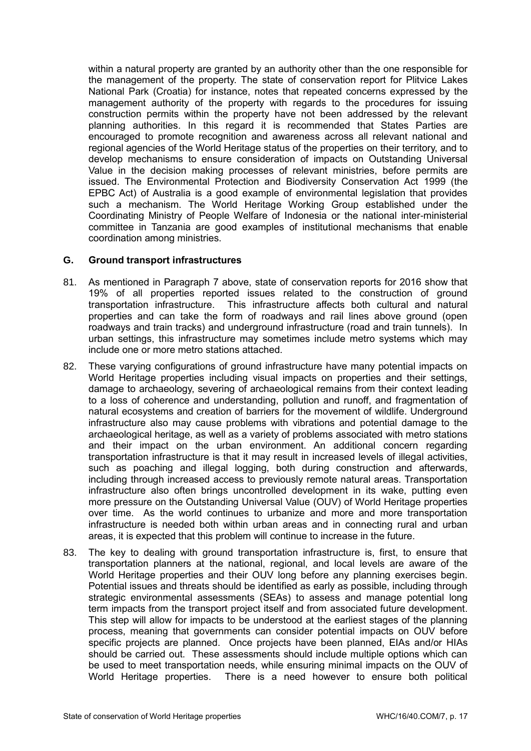within a natural property are granted by an authority other than the one responsible for the management of the property. The state of conservation report for Plitvice Lakes National Park (Croatia) for instance, notes that repeated concerns expressed by the management authority of the property with regards to the procedures for issuing construction permits within the property have not been addressed by the relevant planning authorities. In this regard it is recommended that States Parties are encouraged to promote recognition and awareness across all relevant national and regional agencies of the World Heritage status of the properties on their territory, and to develop mechanisms to ensure consideration of impacts on Outstanding Universal Value in the decision making processes of relevant ministries, before permits are issued. The Environmental Protection and Biodiversity Conservation Act 1999 (the EPBC Act) of Australia is a good example of environmental legislation that provides such a mechanism. The World Heritage Working Group established under the Coordinating Ministry of People Welfare of Indonesia or the national inter-ministerial committee in Tanzania are good examples of institutional mechanisms that enable coordination among ministries.

## **G. Ground transport infrastructures**

- 81. As mentioned in Paragraph 7 above, state of conservation reports for 2016 show that 19% of all properties reported issues related to the construction of ground transportation infrastructure. This infrastructure affects both cultural and natural properties and can take the form of roadways and rail lines above ground (open roadways and train tracks) and underground infrastructure (road and train tunnels). In urban settings, this infrastructure may sometimes include metro systems which may include one or more metro stations attached.
- 82. These varying configurations of ground infrastructure have many potential impacts on World Heritage properties including visual impacts on properties and their settings, damage to archaeology, severing of archaeological remains from their context leading to a loss of coherence and understanding, pollution and runoff, and fragmentation of natural ecosystems and creation of barriers for the movement of wildlife. Underground infrastructure also may cause problems with vibrations and potential damage to the archaeological heritage, as well as a variety of problems associated with metro stations and their impact on the urban environment. An additional concern regarding transportation infrastructure is that it may result in increased levels of illegal activities, such as poaching and illegal logging, both during construction and afterwards, including through increased access to previously remote natural areas. Transportation infrastructure also often brings uncontrolled development in its wake, putting even more pressure on the Outstanding Universal Value (OUV) of World Heritage properties over time. As the world continues to urbanize and more and more transportation infrastructure is needed both within urban areas and in connecting rural and urban areas, it is expected that this problem will continue to increase in the future.
- 83. The key to dealing with ground transportation infrastructure is, first, to ensure that transportation planners at the national, regional, and local levels are aware of the World Heritage properties and their OUV long before any planning exercises begin. Potential issues and threats should be identified as early as possible, including through strategic environmental assessments (SEAs) to assess and manage potential long term impacts from the transport project itself and from associated future development. This step will allow for impacts to be understood at the earliest stages of the planning process, meaning that governments can consider potential impacts on OUV before specific projects are planned. Once projects have been planned, EIAs and/or HIAs should be carried out. These assessments should include multiple options which can be used to meet transportation needs, while ensuring minimal impacts on the OUV of World Heritage properties. There is a need however to ensure both political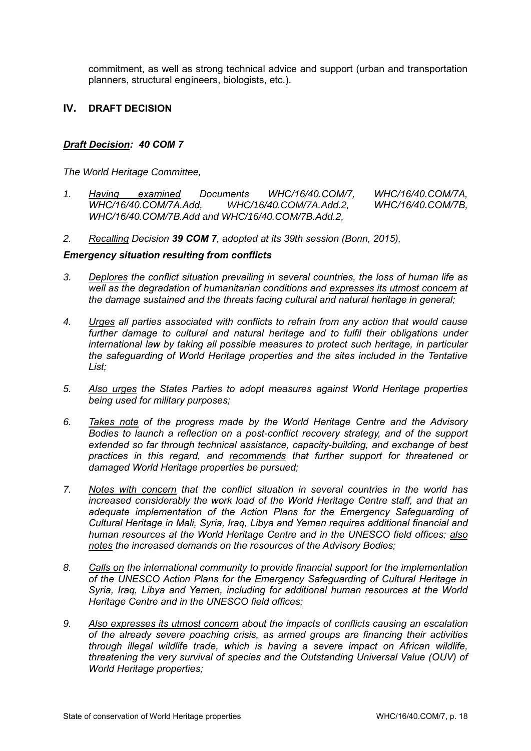commitment, as well as strong technical advice and support (urban and transportation planners, structural engineers, biologists, etc.).

# **IV. DRAFT DECISION**

## *Draft Decision: 40 COM 7*

*The World Heritage Committee,*

- *1. Having examined Documents WHC/16/40.COM/7, WHC/16/40.COM/7A, WHC/16/40.COM/7A.Add, WHC/16/40.COM/7A.Add.2, WHC/16/40.COM/7B, WHC/16/40.COM/7B.Add and WHC/16/40.COM/7B.Add.2,*
- *2. Recalling Decision 39 COM 7, adopted at its 39th session (Bonn, 2015),*

#### *Emergency situation resulting from conflicts*

- *3. Deplores the conflict situation prevailing in several countries, the loss of human life as well as the degradation of humanitarian conditions and expresses its utmost concern at the damage sustained and the threats facing cultural and natural heritage in general;*
- *4. Urges all parties associated with conflicts to refrain from any action that would cause*  further damage to cultural and natural heritage and to fulfil their obligations under *international law by taking all possible measures to protect such heritage, in particular the safeguarding of World Heritage properties and the sites included in the Tentative List;*
- *5. Also urges the States Parties to adopt measures against World Heritage properties being used for military purposes;*
- *6. Takes note of the progress made by the World Heritage Centre and the Advisory Bodies to launch a reflection on a post-conflict recovery strategy, and of the support extended so far through technical assistance, capacity-building, and exchange of best practices in this regard, and recommends that further support for threatened or damaged World Heritage properties be pursued;*
- *7. Notes with concern that the conflict situation in several countries in the world has increased considerably the work load of the World Heritage Centre staff, and that an adequate implementation of the Action Plans for the Emergency Safeguarding of Cultural Heritage in Mali, Syria, Iraq, Libya and Yemen requires additional financial and human resources at the World Heritage Centre and in the UNESCO field offices; also notes the increased demands on the resources of the Advisory Bodies;*
- *8. Calls on the international community to provide financial support for the implementation of the UNESCO Action Plans for the Emergency Safeguarding of Cultural Heritage in Syria, Iraq, Libya and Yemen, including for additional human resources at the World Heritage Centre and in the UNESCO field offices;*
- *9. Also expresses its utmost concern about the impacts of conflicts causing an escalation of the already severe poaching crisis, as armed groups are financing their activities through illegal wildlife trade, which is having a severe impact on African wildlife, threatening the very survival of species and the Outstanding Universal Value (OUV) of World Heritage properties;*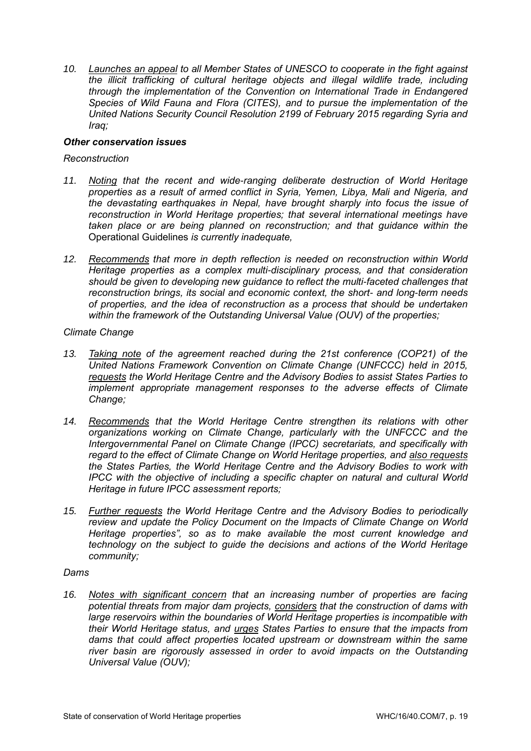*10. Launches an appeal to all Member States of UNESCO to cooperate in the fight against the illicit trafficking of cultural heritage objects and illegal wildlife trade, including through the implementation of the Convention on International Trade in Endangered Species of Wild Fauna and Flora (CITES), and to pursue the implementation of the United Nations Security Council Resolution 2199 of February 2015 regarding Syria and Iraq;* 

## *Other conservation issues*

## *Reconstruction*

- *11. Noting that the recent and wide-ranging deliberate destruction of World Heritage properties as a result of armed conflict in Syria, Yemen, Libya, Mali and Nigeria, and the devastating earthquakes in Nepal, have brought sharply into focus the issue of reconstruction in World Heritage properties; that several international meetings have taken place or are being planned on reconstruction; and that guidance within the*  Operational Guidelines *is currently inadequate,*
- *12. Recommends that more in depth reflection is needed on reconstruction within World Heritage properties as a complex multi-disciplinary process, and that consideration should be given to developing new guidance to reflect the multi-faceted challenges that reconstruction brings, its social and economic context, the short- and long-term needs of properties, and the idea of reconstruction as a process that should be undertaken within the framework of the Outstanding Universal Value (OUV) of the properties;*

*Climate Change*

- *13. Taking note of the agreement reached during the 21st conference (COP21) of the United Nations Framework Convention on Climate Change (UNFCCC) held in 2015, requests the World Heritage Centre and the Advisory Bodies to assist States Parties to implement appropriate management responses to the adverse effects of Climate Change;*
- *14. Recommends that the World Heritage Centre strengthen its relations with other organizations working on Climate Change, particularly with the UNFCCC and the Intergovernmental Panel on Climate Change (IPCC) secretariats, and specifically with regard to the effect of Climate Change on World Heritage properties, and also requests the States Parties, the World Heritage Centre and the Advisory Bodies to work with IPCC with the objective of including a specific chapter on natural and cultural World Heritage in future IPCC assessment reports;*
- *15. Further requests the World Heritage Centre and the Advisory Bodies to periodically review and update the Policy Document on the Impacts of Climate Change on World Heritage properties", so as to make available the most current knowledge and technology on the subject to guide the decisions and actions of the World Heritage community;*

# *Dams*

*16. Notes with significant concern that an increasing number of properties are facing potential threats from major dam projects, considers that the construction of dams with large reservoirs within the boundaries of World Heritage properties is incompatible with their World Heritage status, and urges States Parties to ensure that the impacts from dams that could affect properties located upstream or downstream within the same river basin are rigorously assessed in order to avoid impacts on the Outstanding Universal Value (OUV);*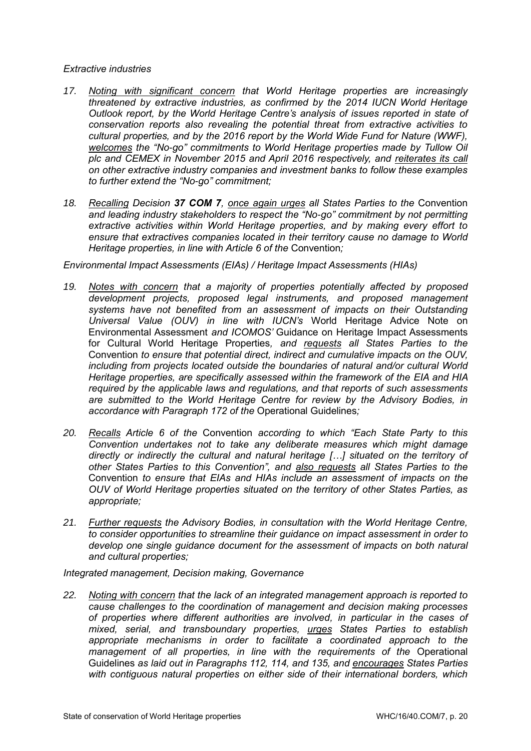## *Extractive industries*

- *17. Noting with significant concern that World Heritage properties are increasingly threatened by extractive industries, as confirmed by the 2014 IUCN World Heritage Outlook report, by the World Heritage Centre's analysis of issues reported in state of conservation reports also revealing the potential threat from extractive activities to cultural properties, and by the 2016 report by the World Wide Fund for Nature (WWF), welcomes the "No-go" commitments to World Heritage properties made by Tullow Oil plc and CEMEX in November 2015 and April 2016 respectively, and reiterates its call on other extractive industry companies and investment banks to follow these examples to further extend the "No-go" commitment;*
- *18. Recalling Decision 37 COM 7, once again urges all States Parties to the* Convention *and leading industry stakeholders to respect the "No-go" commitment by not permitting extractive activities within World Heritage properties, and by making every effort to ensure that extractives companies located in their territory cause no damage to World Heritage properties, in line with Article 6 of the Convention;*

*Environmental Impact Assessments (EIAs) / Heritage Impact Assessments (HIAs)*

- *19. Notes with concern that a majority of properties potentially affected by proposed development projects, proposed legal instruments, and proposed management systems have not benefited from an assessment of impacts on their Outstanding Universal Value (OUV) in line with IUCN's* World Heritage Advice Note on Environmental Assessment *and ICOMOS'* Guidance on Heritage Impact Assessments for Cultural World Heritage Properties*, and requests all States Parties to the*  Convention *to ensure that potential direct, indirect and cumulative impacts on the OUV, including from projects located outside the boundaries of natural and/or cultural World Heritage properties, are specifically assessed within the framework of the EIA and HIA required by the applicable laws and regulations, and that reports of such assessments are submitted to the World Heritage Centre for review by the Advisory Bodies, in accordance with Paragraph 172 of the* Operational Guidelines*;*
- *20. Recalls Article 6 of the* Convention *according to which "Each State Party to this Convention undertakes not to take any deliberate measures which might damage directly or indirectly the cultural and natural heritage […] situated on the territory of other States Parties to this Convention", and also requests all States Parties to the*  Convention *to ensure that EIAs and HIAs include an assessment of impacts on the OUV of World Heritage properties situated on the territory of other States Parties, as appropriate;*
- *21. Further requests the Advisory Bodies, in consultation with the World Heritage Centre, to consider opportunities to streamline their guidance on impact assessment in order to develop one single guidance document for the assessment of impacts on both natural and cultural properties;*

*Integrated management, Decision making, Governance*

*22. Noting with concern that the lack of an integrated management approach is reported to cause challenges to the coordination of management and decision making processes of properties where different authorities are involved, in particular in the cases of mixed, serial, and transboundary properties, urges States Parties to establish appropriate mechanisms in order to facilitate a coordinated approach to the management of all properties, in line with the requirements of the Operational* Guidelines *as laid out in Paragraphs 112, 114, and 135, and encourages States Parties with contiguous natural properties on either side of their international borders, which*